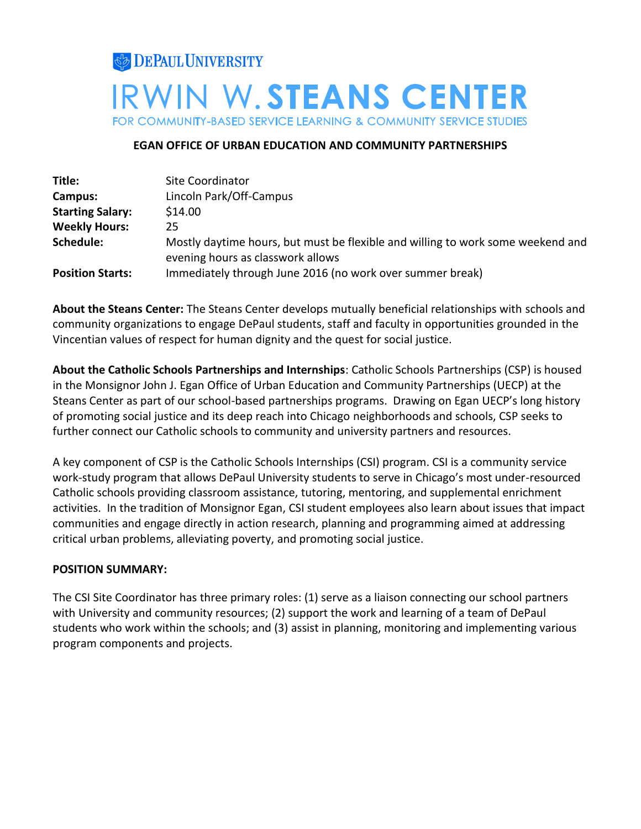# **DEPAUL UNIVERSITY IRWIN W.STEANS CENTER** FOR COMMUNITY-BASED SERVICE LEARNING & COMMUNITY SERVICE STUDIES

# **EGAN OFFICE OF URBAN EDUCATION AND COMMUNITY PARTNERSHIPS**

| Title:                  | Site Coordinator                                                                                                     |
|-------------------------|----------------------------------------------------------------------------------------------------------------------|
| Campus:                 | Lincoln Park/Off-Campus                                                                                              |
| <b>Starting Salary:</b> | \$14.00                                                                                                              |
| <b>Weekly Hours:</b>    | 25                                                                                                                   |
| Schedule:               | Mostly daytime hours, but must be flexible and willing to work some weekend and<br>evening hours as classwork allows |
| <b>Position Starts:</b> | Immediately through June 2016 (no work over summer break)                                                            |

**About the Steans Center:** The Steans Center develops mutually beneficial relationships with schools and community organizations to engage DePaul students, staff and faculty in opportunities grounded in the Vincentian values of respect for human dignity and the quest for social justice.

**About the Catholic Schools Partnerships and Internships**: Catholic Schools Partnerships (CSP) is housed in the Monsignor John J. Egan Office of Urban Education and Community Partnerships (UECP) at the Steans Center as part of our school-based partnerships programs. Drawing on Egan UECP's long history of promoting social justice and its deep reach into Chicago neighborhoods and schools, CSP seeks to further connect our Catholic schools to community and university partners and resources.

A key component of CSP is the Catholic Schools Internships (CSI) program. CSI is a community service work-study program that allows DePaul University students to serve in Chicago's most under-resourced Catholic schools providing classroom assistance, tutoring, mentoring, and supplemental enrichment activities. In the tradition of [Monsignor Egan,](http://www.amazon.com/An-Alley-Chicago-Legacy-Monsignor/dp/158051121X) CSI student employees also learn about issues that impact communities and engage directly in action research, planning and programming aimed at addressing critical urban problems, alleviating poverty, and promoting social justice.

# **POSITION SUMMARY:**

The CSI Site Coordinator has three primary roles: (1) serve as a liaison connecting our school partners with University and community resources; (2) support the work and learning of a team of DePaul students who work within the schools; and (3) assist in planning, monitoring and implementing various program components and projects.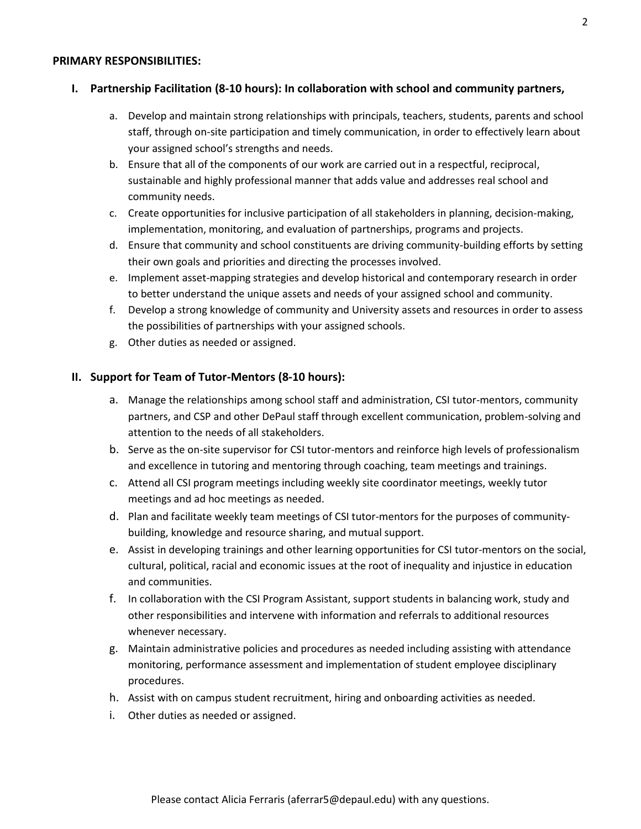#### **PRIMARY RESPONSIBILITIES:**

#### **I. Partnership Facilitation (8-10 hours): In collaboration with school and community partners,**

- a. Develop and maintain strong relationships with principals, teachers, students, parents and school staff, through on-site participation and timely communication, in order to effectively learn about your assigned school's strengths and needs.
- b. Ensure that all of the components of our work are carried out in a respectful, reciprocal, sustainable and highly professional manner that adds value and addresses real school and community needs.
- c. Create opportunities for inclusive participation of all stakeholders in planning, decision-making, implementation, monitoring, and evaluation of partnerships, programs and projects.
- d. Ensure that community and school constituents are driving community-building efforts by setting their own goals and priorities and directing the processes involved.
- e. Implement asset-mapping strategies and develop historical and contemporary research in order to better understand the unique assets and needs of your assigned school and community.
- f. Develop a strong knowledge of community and University assets and resources in order to assess the possibilities of partnerships with your assigned schools.
- g. Other duties as needed or assigned.

#### **II. Support for Team of Tutor-Mentors (8-10 hours):**

- a. Manage the relationships among school staff and administration, CSI tutor-mentors, community partners, and CSP and other DePaul staff through excellent communication, problem-solving and attention to the needs of all stakeholders.
- b. Serve as the on-site supervisor for CSI tutor-mentors and reinforce high levels of professionalism and excellence in tutoring and mentoring through coaching, team meetings and trainings.
- c. Attend all CSI program meetings including weekly site coordinator meetings, weekly tutor meetings and ad hoc meetings as needed.
- d. Plan and facilitate weekly team meetings of CSI tutor-mentors for the purposes of communitybuilding, knowledge and resource sharing, and mutual support.
- e. Assist in developing trainings and other learning opportunities for CSI tutor-mentors on the social, cultural, political, racial and economic issues at the root of inequality and injustice in education and communities.
- f. In collaboration with the CSI Program Assistant, support students in balancing work, study and other responsibilities and intervene with information and referrals to additional resources whenever necessary.
- g. Maintain administrative policies and procedures as needed including assisting with attendance monitoring, performance assessment and implementation of student employee disciplinary procedures.
- h. Assist with on campus student recruitment, hiring and onboarding activities as needed.
- i. Other duties as needed or assigned.